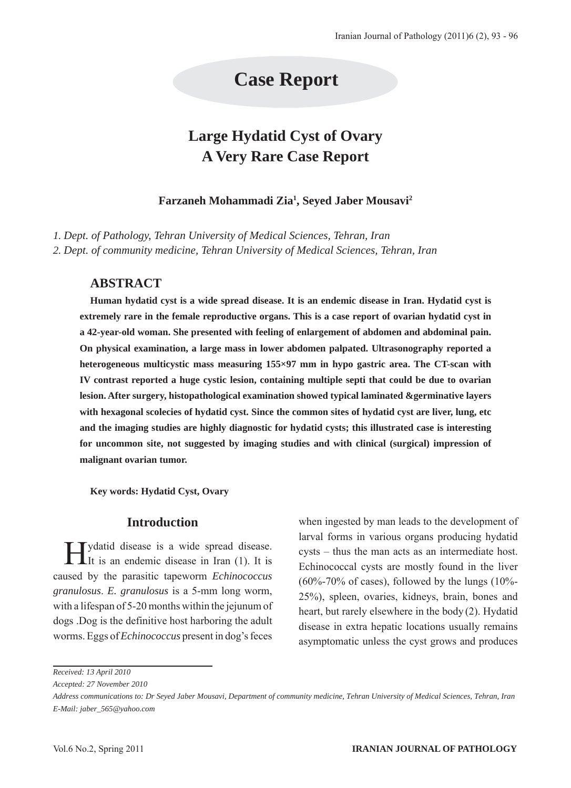# **Case Report**

## **Large Hydatid Cyst of Ovary A Very Rare Case Report**

**Farzaneh Mohammadi Zia1 , Seyed Jaber Mousavi2**

*1. Dept. of Pathology, Tehran University of Medical Sciences, Tehran, Iran 2. Dept. of community medicine, Tehran University of Medical Sciences, Tehran, Iran*

## **ABSTRACT**

**Human hydatid cyst is a wide spread disease. It is an endemic disease in Iran. Hydatid cyst is extremely rare in the female reproductive organs. This is a case report of ovarian hydatid cyst in a 42-year-old woman. She presented with feeling of enlargement of abdomen and abdominal pain. On physical examination, a large mass in lower abdomen palpated. Ultrasonography reported a heterogeneous multicystic mass measuring 155×97 mm in hypo gastric area. The CT-scan with IV contrast reported a huge cystic lesion, containing multiple septi that could be due to ovarian lesion. After surgery, histopathological examination showed typical laminated &germinative layers with hexagonal scolecies of hydatid cyst. Since the common sites of hydatid cyst are liver, lung, etc and the imaging studies are highly diagnostic for hydatid cysts; this illustrated case is interesting for uncommon site, not suggested by imaging studies and with clinical (surgical) impression of malignant ovarian tumor.**

**Key words: Hydatid Cyst, Ovary** 

#### **Introduction**

Hydatid disease is a wide spread disease.<br>It is an endemic disease in Iran (1). It is caused by the parasitic tapeworm *Echinococcus granulosus*. *E. granulosus* is a 5-mm long worm, with a lifespan of 5-20 months within the jejunum of dogs .Dog is the definitive host harboring the adult worms. Eggs of *Echinococcus* present in dog's feces

when ingested by man leads to the development of larval forms in various organs producing hydatid cysts – thus the man acts as an intermediate host. Echinococcal cysts are mostly found in the liver  $(60\% - 70\% \text{ of cases})$ , followed by the lungs  $(10\% -$ 25%), spleen, ovaries, kidneys, brain, bones and heart, but rarely elsewhere in the body (2). Hydatid disease in extra hepatic locations usually remains asymptomatic unless the cyst grows and produces

*Received: 13 April 2010*

*Accepted: 27 November 2010*

*Address communications to: Dr Seyed Jaber Mousavi, Department of community medicine, Tehran University of Medical Sciences, Tehran, Iran E-Mail: jaber\_565@yahoo.com*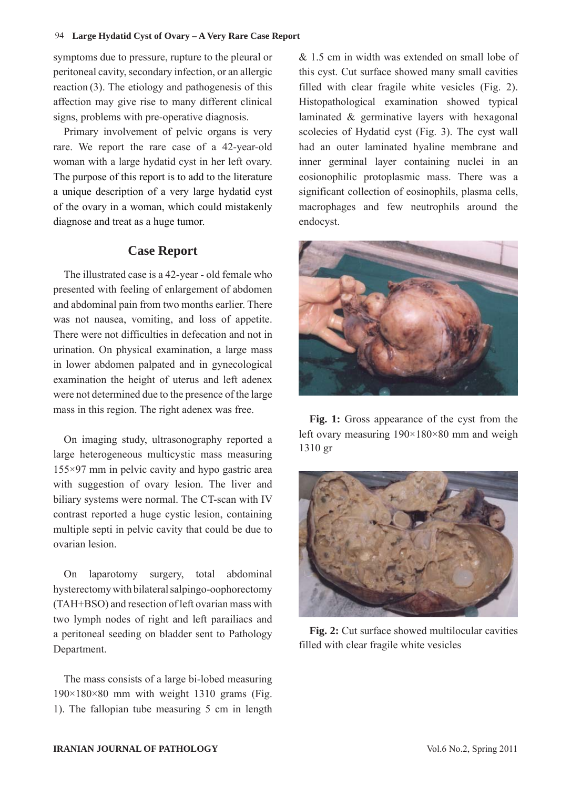#### 94 **Large Hydatid Cyst of Ovary – A Very Rare Case Report**

symptoms due to pressure, rupture to the pleural or peritoneal cavity, secondary infection, or an allergic reaction (3). The etiology and pathogenesis of this affection may give rise to many different clinical signs, problems with pre-operative diagnosis.

Primary involvement of pelvic organs is very rare. We report the rare case of a 42-year-old woman with a large hydatid cyst in her left ovary. The purpose of this report is to add to the literature a unique description of a very large hydatid cyst of the ovary in a woman, which could mistakenly diagnose and treat as a huge tumor.

## **Case Report**

The illustrated case is a 42-year - old female who presented with feeling of enlargement of abdomen and abdominal pain from two months earlier. There was not nausea, vomiting, and loss of appetite. There were not difficulties in defecation and not in urination. On physical examination, a large mass in lower abdomen palpated and in gynecological examination the height of uterus and left adenex were not determined due to the presence of the large mass in this region. The right adenex was free.

On imaging study, ultrasonography reported a large heterogeneous multicystic mass measuring 155×97 mm in pelvic cavity and hypo gastric area with suggestion of ovary lesion. The liver and biliary systems were normal. The CT-scan with IV contrast reported a huge cystic lesion, containing multiple septi in pelvic cavity that could be due to ovarian lesion.

On laparotomy surgery, total abdominal hysterectomy with bilateral salpingo-oophorectomy (TAH+BSO) and resection of left ovarian mass with two lymph nodes of right and left parailiacs and a peritoneal seeding on bladder sent to Pathology Department.

The mass consists of a large bi-lobed measuring  $190\times180\times80$  mm with weight 1310 grams (Fig. 1). The fallopian tube measuring 5 cm in length & 1.5 cm in width was extended on small lobe of this cyst. Cut surface showed many small cavities filled with clear fragile white vesicles (Fig. 2). Histopathological examination showed typical laminated & germinative layers with hexagonal scolecies of Hydatid cyst (Fig. 3). The cyst wall had an outer laminated hyaline membrane and inner germinal layer containing nuclei in an eosionophilic protoplasmic mass. There was a significant collection of eosinophils, plasma cells, macrophages and few neutrophils around the endocyst.



**Fig. 1:** Gross appearance of the cyst from the left ovary measuring 190×180×80 mm and weigh 1310 gr



**Fig. 2:** Cut surface showed multilocular cavities filled with clear fragile white vesicles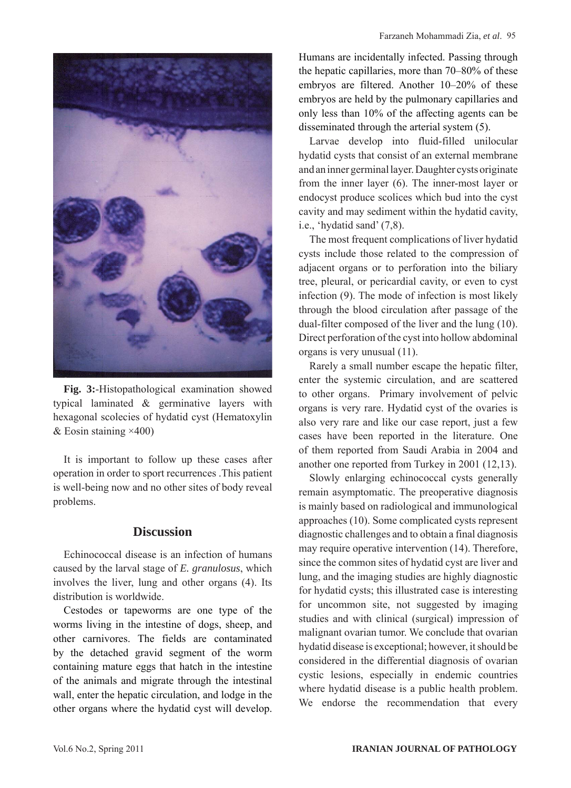

**Fig. 3:**-Histopathological examination showed typical laminated & germinative layers with hexagonal scolecies of hydatid cyst (Hematoxylin  $&$  Eosin staining  $\times$ 400)

It is important to follow up these cases after operation in order to sport recurrences .This patient is well-being now and no other sites of body reveal problems.

#### **Discussion**

Echinococcal disease is an infection of humans caused by the larval stage of *E. granulosus*, which involves the liver, lung and other organs (4). Its distribution is worldwide.

Cestodes or tapeworms are one type of the worms living in the intestine of dogs, sheep, and other carnivores. The fields are contaminated by the detached gravid segment of the worm containing mature eggs that hatch in the intestine of the animals and migrate through the intestinal wall, enter the hepatic circulation, and lodge in the other organs where the hydatid cyst will develop. Humans are incidentally infected. Passing through the hepatic capillaries, more than 70–80% of these embryos are filtered. Another 10–20% of these embryos are held by the pulmonary capillaries and only less than 10% of the affecting agents can be disseminated through the arterial system (5).

Larvae develop into fluid-filled unilocular hydatid cysts that consist of an external membrane and an inner germinal layer. Daughter cysts originate from the inner layer (6). The inner-most layer or endocyst produce scolices which bud into the cyst cavity and may sediment within the hydatid cavity, i.e., 'hydatid sand' (7,8).

The most frequent complications of liver hydatid cysts include those related to the compression of adjacent organs or to perforation into the biliary tree, pleural, or pericardial cavity, or even to cyst infection (9). The mode of infection is most likely through the blood circulation after passage of the dual-filter composed of the liver and the lung (10). Direct perforation of the cyst into hollow abdominal organs is very unusual (11).

Rarely a small number escape the hepatic filter, enter the systemic circulation, and are scattered to other organs. Primary involvement of pelvic organs is very rare. Hydatid cyst of the ovaries is also very rare and like our case report, just a few cases have been reported in the literature. One of them reported from Saudi Arabia in 2004 and another one reported from Turkey in 2001 (12,13).

Slowly enlarging echinococcal cysts generally remain asymptomatic. The preoperative diagnosis is mainly based on radiological and immunological approaches (10). Some complicated cysts represent diagnostic challenges and to obtain a final diagnosis may require operative intervention (14). Therefore, since the common sites of hydatid cyst are liver and lung, and the imaging studies are highly diagnostic for hydatid cysts; this illustrated case is interesting for uncommon site, not suggested by imaging studies and with clinical (surgical) impression of malignant ovarian tumor. We conclude that ovarian hydatid disease is exceptional; however, it should be considered in the differential diagnosis of ovarian cystic lesions, especially in endemic countries where hydatid disease is a public health problem. We endorse the recommendation that every